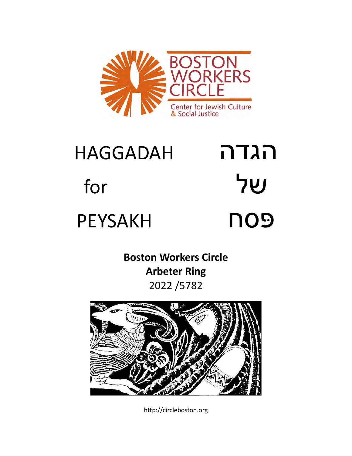

# הגדה HAGGADAH של for ּפסח PEYSAKH

**Boston Workers Circle Arbeter Ring** 2022 /5782



http://circleboston.org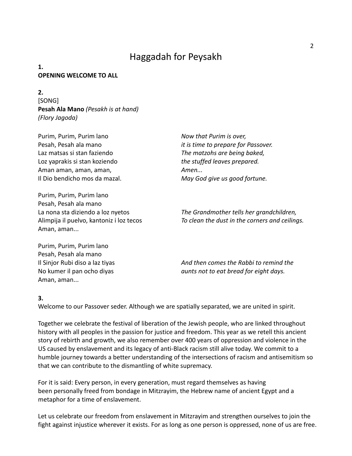## Haggadah for Peysakh

## **1. OPENING WELCOME TO ALL**

#### **2.**

[SONG] **Pesah Ala Mano** *(Pesakh is at hand) (Flory Jagoda)*

| Purim, Purim, Purim lano      |  |
|-------------------------------|--|
| Pesah, Pesah ala mano         |  |
| Laz matsas si stan faziendo   |  |
| Loz yaprakis si stan koziendo |  |
| Aman aman, aman, aman,        |  |
| Il Dio bendicho mos da mazal. |  |

Purim, Purim, Purim lano Pesah, Pesah ala mano La nona sta diziendo a loz nyetos Alimpija il puelvo, kantoniz i loz tecos Aman, aman...

Purim, Purim, Purim lano Pesah, Pesah ala mano Il Sinjor Rubi diso a laz tiyas No kumer il pan ocho diyas Aman, aman...

*Now that Purim is over, it is time to prepare for Passover. The matzohs are being baked, the stuffed leaves prepared. Amen... May God give us good fortune.*

*The Grandmother tells her grandchildren, To clean the dust in the corners and ceilings.*

*And then comes the Rabbi to remind the aunts not to eat bread for eight days.*

#### **3.**

Welcome to our Passover seder. Although we are spatially separated, we are united in spirit.

Together we celebrate the festival of liberation of the Jewish people, who are linked throughout history with all peoples in the passion for justice and freedom. This year as we retell this ancient story of rebirth and growth, we also remember over 400 years of oppression and violence in the US caused by enslavement and its legacy of anti-Black racism still alive today. We commit to a humble journey towards a better understanding of the intersections of racism and antisemitism so that we can contribute to the dismantling of white supremacy.

For it is said: Every person, in every generation, must regard themselves as having been personally freed from bondage in Mitzrayim, the Hebrew name of ancient Egypt and a metaphor for a time of enslavement.

Let us celebrate our freedom from enslavement in Mitzrayim and strengthen ourselves to join the fight against injustice wherever it exists. For as long as one person is oppressed, none of us are free.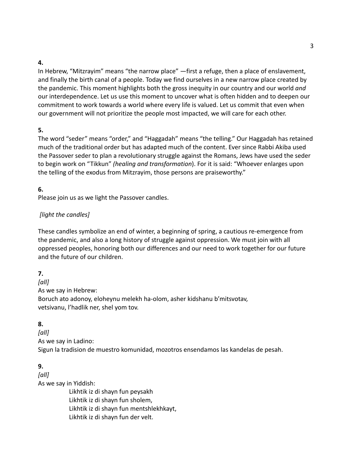In Hebrew, "Mitzrayim" means "the narrow place" —first a refuge, then a place of enslavement, and finally the birth canal of a people. Today we find ourselves in a new narrow place created by the pandemic. This moment highlights both the gross inequity in our country and our world *and* our interdependence. Let us use this moment to uncover what is often hidden and to deepen our commitment to work towards a world where every life is valued. Let us commit that even when our government will not prioritize the people most impacted, we will care for each other.

## **5.**

The word "seder" means "order," and "Haggadah" means "the telling." Our Haggadah has retained much of the traditional order but has adapted much of the content. Ever since Rabbi Akiba used the Passover seder to plan a revolutionary struggle against the Romans, Jews have used the seder to begin work on "Tikkun" *(healing and transformation*). For it is said: "Whoever enlarges upon the telling of the exodus from Mitzrayim, those persons are praiseworthy."

## **6.**

Please join us as we light the Passover candles.

## *[light the candles]*

These candles symbolize an end of winter, a beginning of spring, a cautious re-emergence from the pandemic, and also a long history of struggle against oppression. We must join with all oppressed peoples, honoring both our differences and our need to work together for our future and the future of our children.

## **7.**

*[all]* As we say in Hebrew: Boruch ato adonoy, eloheynu melekh ha-olom, asher kidshanu b'mitsvotav, vetsivanu, l'hadlik ner, shel yom tov.

## **8.**

*[all]* As we say in Ladino: Sigun la tradision de muestro komunidad, mozotros ensendamos las kandelas de pesah.

## **9.**

*[all]* As we say in Yiddish:

Likhtik iz di shayn fun peysakh Likhtik iz di shayn fun sholem, Likhtik iz di shayn fun mentshlekhkayt, Likhtik iz di shayn fun der velt.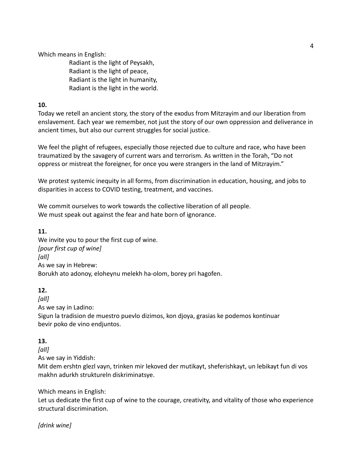Which means in English:

Radiant is the light of Peysakh, Radiant is the light of peace, Radiant is the light in humanity, Radiant is the light in the world.

## **10.**

Today we retell an ancient story, the story of the exodus from Mitzrayim and our liberation from enslavement. Each year we remember, not just the story of our own oppression and deliverance in ancient times, but also our current struggles for social justice.

We feel the plight of refugees, especially those rejected due to culture and race, who have been traumatized by the savagery of current wars and terrorism. As written in the Torah, "Do not oppress or mistreat the foreigner, for once you were strangers in the land of Mitzrayim."

We protest systemic inequity in all forms, from discrimination in education, housing, and jobs to disparities in access to COVID testing, treatment, and vaccines.

We commit ourselves to work towards the collective liberation of all people. We must speak out against the fear and hate born of ignorance.

**11.** We invite you to pour the first cup of wine. *[pour first cup of wine]*

*[all]* As we say in Hebrew: Borukh ato adonoy, eloheynu melekh ha-olom, borey pri hagofen.

## **12.**

*[all]* As we say in Ladino: Sigun la tradision de muestro puevlo dizimos, kon djoya, grasias ke podemos kontinuar bevir poko de vino endjuntos.

## **13.**

## *[all]*

As we say in Yiddish:

Mit dem ershtn glezl vayn, trinken mir lekoved der mutikayt, sheferishkayt, un lebikayt fun di vos makhn adurkh struktureln diskriminatsye.

Which means in English:

Let us dedicate the first cup of wine to the courage, creativity, and vitality of those who experience structural discrimination.

*[drink wine]*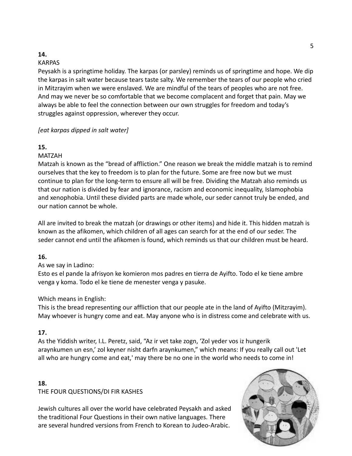## KARPAS

Peysakh is a springtime holiday. The karpas (or parsley) reminds us of springtime and hope. We dip the karpas in salt water because tears taste salty. We remember the tears of our people who cried in Mitzrayim when we were enslaved. We are mindful of the tears of peoples who are not free. And may we never be so comfortable that we become complacent and forget that pain. May we always be able to feel the connection between our own struggles for freedom and today's struggles against oppression, wherever they occur.

## *[eat karpas dipped in salt water]*

## **15.**

## MATZAH

Matzah is known as the "bread of affliction." One reason we break the middle matzah is to remind ourselves that the key to freedom is to plan for the future. Some are free now but we must continue to plan for the long-term to ensure all will be free. Dividing the Matzah also reminds us that our nation is divided by fear and ignorance, racism and economic inequality, Islamophobia and xenophobia. Until these divided parts are made whole, our seder cannot truly be ended, and our nation cannot be whole.

All are invited to break the matzah (or drawings or other items) and hide it. This hidden matzah is known as the afikomen, which children of all ages can search for at the end of our seder. The seder cannot end until the afikomen is found, which reminds us that our children must be heard.

## **16.**

## As we say in Ladino:

Esto es el pande la afrisyon ke komieron mos padres en tierra de Ayifto. Todo el ke tiene ambre venga y koma. Todo el ke tiene de menester venga y pasuke.

## Which means in English:

This is the bread representing our affliction that our people ate in the land of Ayifto (Mitzrayim). May whoever is hungry come and eat. May anyone who is in distress come and celebrate with us.

## **17.**

As the Yiddish writer, I.L. Peretz, said, "Az ir vet take zogn, 'Zol yeder vos iz hungerik araynkumen un esn,' zol keyner nisht darfn araynkumen," which means: If you really call out 'Let all who are hungry come and eat,' may there be no one in the world who needs to come in!

#### **18.** THE FOUR QUESTIONS/DI FIR KASHES

Jewish cultures all over the world have celebrated Peysakh and asked the traditional Four Questions in their own native languages. There are several hundred versions from French to Korean to Judeo-Arabic.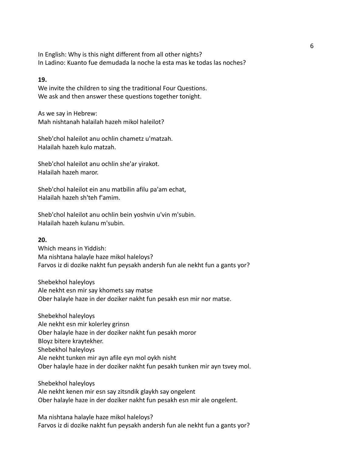In English: Why is this night different from all other nights? In Ladino: Kuanto fue demudada la noche la esta mas ke todas las noches?

#### **19.**

We invite the children to sing the traditional Four Questions. We ask and then answer these questions together tonight.

As we say in Hebrew: Mah nishtanah halailah hazeh mikol haleilot?

Sheb'chol haleilot anu ochlin chametz u'matzah. Halailah hazeh kulo matzah.

Sheb'chol haleilot anu ochlin she'ar yirakot. Halailah hazeh maror.

Sheb'chol haleilot ein anu matbilin afilu pa'am echat, Halailah hazeh sh'teh f'amim.

Sheb'chol haleilot anu ochlin bein yoshvin u'vin m'subin. Halailah hazeh kulanu m'subin.

#### **20.**

Which means in Yiddish: Ma nishtana halayle haze mikol haleloys? Farvos iz di dozike nakht fun peysakh andersh fun ale nekht fun a gants yor?

Shebekhol haleyloys Ale nekht esn mir say khomets say matse Ober halayle haze in der doziker nakht fun pesakh esn mir nor matse.

Shebekhol haleyloys Ale nekht esn mir kolerley grinsn Ober halayle haze in der doziker nakht fun pesakh moror Bloyz bitere kraytekher. Shebekhol haleyloys Ale nekht tunken mir ayn afile eyn mol oykh nisht Ober halayle haze in der doziker nakht fun pesakh tunken mir ayn tsvey mol.

Shebekhol haleyloys Ale nekht kenen mir esn say zitsndik glaykh say ongelent Ober halayle haze in der doziker nakht fun pesakh esn mir ale ongelent.

Ma nishtana halayle haze mikol haleloys? Farvos iz di dozike nakht fun peysakh andersh fun ale nekht fun a gants yor?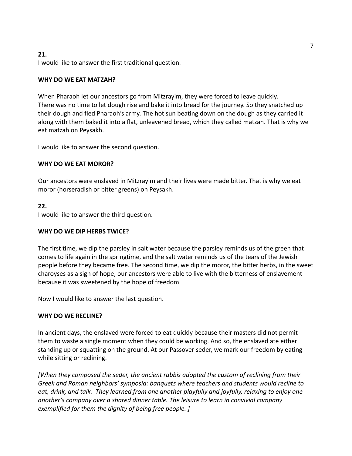I would like to answer the first traditional question.

#### **WHY DO WE EAT MATZAH?**

When Pharaoh let our ancestors go from Mitzrayim, they were forced to leave quickly. There was no time to let dough rise and bake it into bread for the journey. So they snatched up their dough and fled Pharaoh's army. The hot sun beating down on the dough as they carried it along with them baked it into a flat, unleavened bread, which they called matzah. That is why we eat matzah on Peysakh.

I would like to answer the second question.

#### **WHY DO WE EAT MOROR?**

Our ancestors were enslaved in Mitzrayim and their lives were made bitter. That is why we eat moror (horseradish or bitter greens) on Peysakh.

#### **22.**

I would like to answer the third question.

#### **WHY DO WE DIP HERBS TWICE?**

The first time, we dip the parsley in salt water because the parsley reminds us of the green that comes to life again in the springtime, and the salt water reminds us of the tears of the Jewish people before they became free. The second time, we dip the moror, the bitter herbs, in the sweet charoyses as a sign of hope; our ancestors were able to live with the bitterness of enslavement because it was sweetened by the hope of freedom.

Now I would like to answer the last question.

#### **WHY DO WE RECLINE?**

In ancient days, the enslaved were forced to eat quickly because their masters did not permit them to waste a single moment when they could be working. And so, the enslaved ate either standing up or squatting on the ground. At our Passover seder, we mark our freedom by eating while sitting or reclining.

*[When they composed the seder, the ancient rabbis adopted the custom of reclining from their Greek and Roman neighbors' symposia: banquets where teachers and students would recline to eat, drink, and talk. They learned from one another playfully and joyfully, relaxing to enjoy one another's company over a shared dinner table. The leisure to learn in convivial company exemplified for them the dignity of being free people. ]*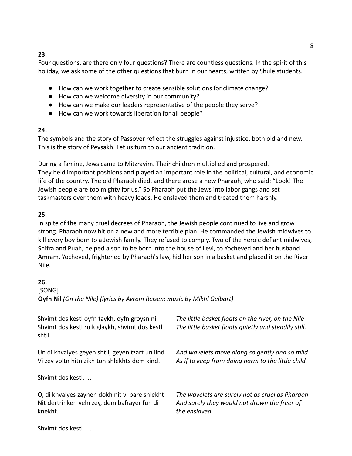Four questions, are there only four questions? There are countless questions. In the spirit of this holiday, we ask some of the other questions that burn in our hearts, written by Shule students.

- How can we work together to create sensible solutions for climate change?
- How can we welcome diversity in our community?
- How can we make our leaders representative of the people they serve?
- How can we work towards liberation for all people?

## **24.**

The symbols and the story of Passover reflect the struggles against injustice, both old and new. This is the story of Peysakh. Let us turn to our ancient tradition.

During a famine, Jews came to Mitzrayim. Their children multiplied and prospered. They held important positions and played an important role in the political, cultural, and economic life of the country. The old Pharaoh died, and there arose a new Pharaoh, who said: "Look! The Jewish people are too mighty for us." So Pharaoh put the Jews into labor gangs and set taskmasters over them with heavy loads. He enslaved them and treated them harshly.

## **25.**

In spite of the many cruel decrees of Pharaoh, the Jewish people continued to live and grow strong. Pharaoh now hit on a new and more terrible plan. He commanded the Jewish midwives to kill every boy born to a Jewish family. They refused to comply. Two of the heroic defiant midwives, Shifra and Puah, helped a son to be born into the house of Levi, to Yocheved and her husband Amram. Yocheved, frightened by Pharaoh's law, hid her son in a basket and placed it on the River Nile.

## **26.**

[SONG] **Oyfn Nil** *(On the Nile) (lyrics by Avrom Reisen; music by Mikhl Gelbart)*

Shvimt dos kestl oyfn taykh, oyfn groysn nil Shvimt dos kestl ruik glaykh, shvimt dos kestl shtil. Un di khvalyes geyen shtil, geyen tzart un lind Vi zey voltn hitn zikh ton shlekhts dem kind. Shvimt dos kestl…. O, di khvalyes zaynen dokh nit vi pare shlekht Nit dertrinken veln zey, dem bafrayer fun di knekht. *The little basket floats on the river, on the Nile The little basket floats quietly and steadily still. And wavelets move along so gently and so mild As if to keep from doing harm to the little child. The wavelets are surely not as cruel as Pharaoh And surely they would not drown the freer of the enslaved.*

8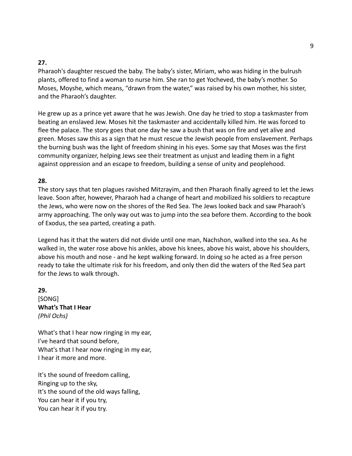Pharaoh's daughter rescued the baby. The baby's sister, Miriam, who was hiding in the bulrush plants, offered to find a woman to nurse him. She ran to get Yocheved, the baby's mother. So Moses, Moyshe, which means, "drawn from the water," was raised by his own mother, his sister, and the Pharaoh's daughter.

He grew up as a prince yet aware that he was Jewish. One day he tried to stop a taskmaster from beating an enslaved Jew. Moses hit the taskmaster and accidentally killed him. He was forced to flee the palace. The story goes that one day he saw a bush that was on fire and yet alive and green. Moses saw this as a sign that he must rescue the Jewish people from enslavement. Perhaps the burning bush was the light of freedom shining in his eyes. Some say that Moses was the first community organizer, helping Jews see their treatment as unjust and leading them in a fight against oppression and an escape to freedom, building a sense of unity and peoplehood.

#### **28.**

The story says that ten plagues ravished Mitzrayim, and then Pharaoh finally agreed to let the Jews leave. Soon after, however, Pharaoh had a change of heart and mobilized his soldiers to recapture the Jews, who were now on the shores of the Red Sea. The Jews looked back and saw Pharaoh's army approaching. The only way out was to jump into the sea before them. According to the book of Exodus, the sea parted, creating a path.

Legend has it that the waters did not divide until one man, Nachshon, walked into the sea. As he walked in, the water rose above his ankles, above his knees, above his waist, above his shoulders, above his mouth and nose - and he kept walking forward. In doing so he acted as a free person ready to take the ultimate risk for his freedom, and only then did the waters of the Red Sea part for the Jews to walk through.

**29.** [SONG] **What's That I Hear** *(Phil Ochs)*

What's that I hear now ringing in my ear, I've heard that sound before, What's that I hear now ringing in my ear, I hear it more and more.

It's the sound of freedom calling, Ringing up to the sky, It's the sound of the old ways falling, You can hear it if you try, You can hear it if you try.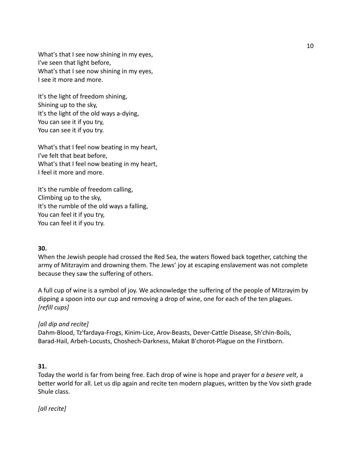What's that I see now shining in my eyes, I've seen that light before, What's that I see now shining in my eyes, I see it more and more.

It's the light of freedom shining, Shining up to the sky, It's the light of the old ways a-dying, You can see it if you try, You can see it if you try.

What's that I feel now beating in my heart, I've felt that beat before, What's that I feel now beating in my heart, I feel it more and more.

It's the rumble of freedom calling, Climbing up to the sky, It's the rumble of the old ways a falling, You can feel it if you try, You can feel it if you try.

#### **30.**

When the Jewish people had crossed the Red Sea, the waters flowed back together, catching the army of Mitzrayim and drowning them. The Jews' joy at escaping enslavement was not complete because they saw the suffering of others.

A full cup of wine is a symbol of joy. We acknowledge the suffering of the people of Mitzrayim by dipping a spoon into our cup and removing a drop of wine, one for each of the ten plagues. *[refill cups]*

## *[all dip and recite]*

Dahm-Blood, Tz'fardaya-Frogs, Kinim-Lice, Arov-Beasts, Dever-Cattle Disease, Sh'chin-Boils, Barad-Hail, Arbeh-Locusts, Choshech-Darkness, Makat B'chorot-Plague on the Firstborn.

#### **31.**

Today the world is far from being free. Each drop of wine is hope and prayer for *a besere velt*, a better world for all. Let us dip again and recite ten modern plagues, written by the Vov sixth grade Shule class.

## *[all recite]*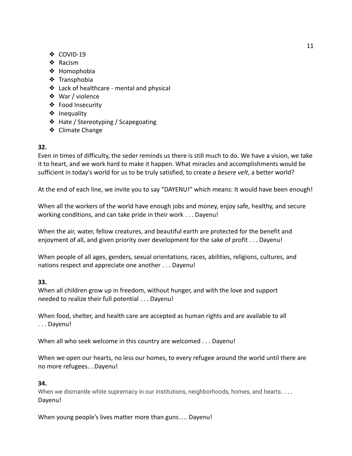- ❖ COVID-19
- ❖ Racism
- ❖ Homophobia
- ❖ Transphobia
- ❖ Lack of healthcare mental and physical
- ❖ War / violence
- ❖ Food Insecurity
- ❖ Inequality
- ❖ Hate / Stereotyping / Scapegoating
- ❖ Climate Change

Even in times of difficulty, the seder reminds us there is still much to do. We have a vision, we take it to heart, and we work hard to make it happen. What miracles and accomplishments would be sufficient in today's world for us to be truly satisfied, to create *a besere velt*, a better world?

At the end of each line, we invite you to say "DAYENU!" which means: It would have been enough!

When all the workers of the world have enough jobs and money, enjoy safe, healthy, and secure working conditions, and can take pride in their work . . . Dayenu!

When the air, water, fellow creatures, and beautiful earth are protected for the benefit and enjoyment of all, and given priority over development for the sake of profit . . . Dayenu!

When people of all ages, genders, sexual orientations, races, abilities, religions, cultures, and nations respect and appreciate one another . . . Dayenu!

## **33.**

When all children grow up in freedom, without hunger, and with the love and support needed to realize their full potential . . . Dayenu!

When food, shelter, and health care are accepted as human rights and are available to all . . . Dayenu!

When all who seek welcome in this country are welcomed . . . Dayenu!

When we open our hearts, no less our homes, to every refugee around the world until there are no more refugees…Dayenu!

## **34.**

When we dismantle white supremacy in our institutions, neighborhoods, homes, and hearts.... Dayenu!

When young people's lives matter more than guns…. Dayenu!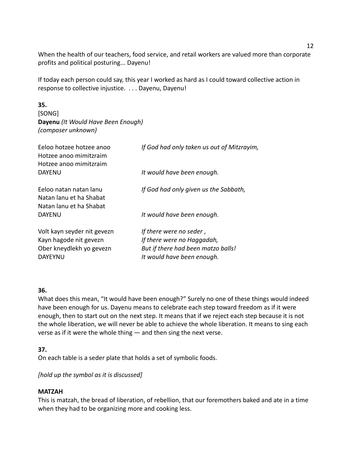When the health of our teachers, food service, and retail workers are valued more than corporate profits and political posturing... Dayenu!

If today each person could say, this year I worked as hard as I could toward collective action in response to collective injustice. . . . Dayenu, Dayenu!

#### **35.**

[SONG] **Dayenu** *(It Would Have Been Enough) (composer unknown)*

| Eeloo hotzee hotzee anoo<br>Hotzee anoo mimitzraim<br>Hotzee anoo mimitzraim                 | If God had only taken us out of Mitzrayim,                                                                                |
|----------------------------------------------------------------------------------------------|---------------------------------------------------------------------------------------------------------------------------|
| DAYFNU                                                                                       | It would have been enough.                                                                                                |
| Eeloo natan natan lanu<br>Natan lanu et ha Shabat<br>Natan lanu et ha Shabat                 | If God had only given us the Sabbath,                                                                                     |
| DAYFNU                                                                                       | It would have been enough.                                                                                                |
| Volt kayn seyder nit gevezn<br>Kayn hagode nit gevezn<br>Ober kneydlekh yo gevezn<br>DAYFYNU | If there were no seder,<br>If there were no Haggadah,<br>But if there had been matzo balls!<br>It would have been enough. |

## **36.**

What does this mean, "It would have been enough?" Surely no one of these things would indeed have been enough for us. Dayenu means to celebrate each step toward freedom as if it were enough, then to start out on the next step. It means that if we reject each step because it is not the whole liberation, we will never be able to achieve the whole liberation. It means to sing each verse as if it were the whole thing — and then sing the next verse.

## **37.**

On each table is a seder plate that holds a set of symbolic foods.

*[hold up the symbol as it is discussed]*

#### **MATZAH**

This is matzah, the bread of liberation, of rebellion, that our foremothers baked and ate in a time when they had to be organizing more and cooking less.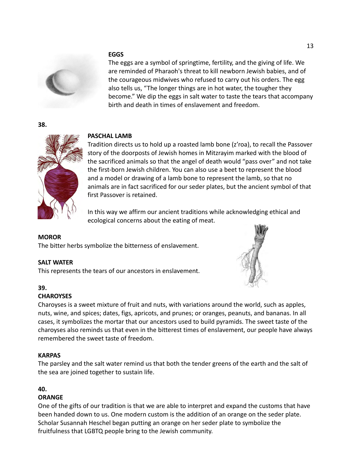

#### **EGGS**

The eggs are a symbol of springtime, fertility, and the giving of life. We are reminded of Pharaoh's threat to kill newborn Jewish babies, and of the courageous midwives who refused to carry out his orders. The egg also tells us, "The longer things are in hot water, the tougher they become." We dip the eggs in salt water to taste the tears that accompany birth and death in times of enslavement and freedom.

**38.**



#### **PASCHAL LAMB**

Tradition directs us to hold up a roasted lamb bone (z'roa), to recall the Passover story of the doorposts of Jewish homes in Mitzrayim marked with the blood of the sacrificed animals so that the angel of death would "pass over" and not take the first-born Jewish children. You can also use a beet to represent the blood and a model or drawing of a lamb bone to represent the lamb, so that no animals are in fact sacrificed for our seder plates, but the ancient symbol of that first Passover is retained.

In this way we affirm our ancient traditions while acknowledging ethical and ecological concerns about the eating of meat.

#### **MOROR**

The bitter herbs symbolize the bitterness of enslavement.

#### **SALT WATER**

This represents the tears of our ancestors in enslavement.

#### **39.**

#### **CHAROYSES**

Charoyses is a sweet mixture of fruit and nuts, with variations around the world, such as apples, nuts, wine, and spices; dates, figs, apricots, and prunes; or oranges, peanuts, and bananas. In all cases, it symbolizes the mortar that our ancestors used to build pyramids. The sweet taste of the charoyses also reminds us that even in the bitterest times of enslavement, our people have always remembered the sweet taste of freedom.

#### **KARPAS**

The parsley and the salt water remind us that both the tender greens of the earth and the salt of the sea are joined together to sustain life.

#### **40.**

#### **ORANGE**

One of the gifts of our tradition is that we are able to interpret and expand the customs that have been handed down to us. One modern custom is the addition of an orange on the seder plate. Scholar Susannah Heschel began putting an orange on her seder plate to symbolize the fruitfulness that LGBTQ people bring to the Jewish community.

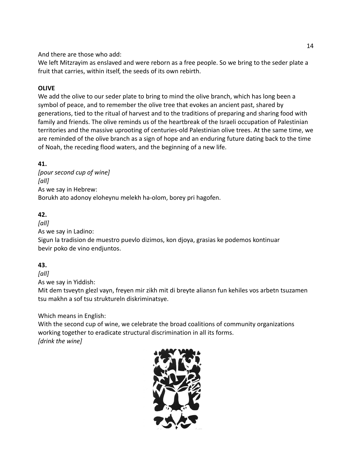And there are those who add:

We left Mitzrayim as enslaved and were reborn as a free people. So we bring to the seder plate a fruit that carries, within itself, the seeds of its own rebirth.

## **OLIVE**

We add the olive to our seder plate to bring to mind the olive branch, which has long been a symbol of peace, and to remember the olive tree that evokes an ancient past, shared by generations, tied to the ritual of harvest and to the traditions of preparing and sharing food with family and friends. The olive reminds us of the heartbreak of the Israeli occupation of Palestinian territories and the massive uprooting of centuries-old Palestinian olive trees. At the same time, we are reminded of the olive branch as a sign of hope and an enduring future dating back to the time of Noah, the receding flood waters, and the beginning of a new life.

## **41.**

*[pour second cup of wine] [all]* As we say in Hebrew: Borukh ato adonoy eloheynu melekh ha-olom, borey pri hagofen.

## **42.**

*[all]* As we say in Ladino:

Sigun la tradision de muestro puevlo dizimos, kon djoya, grasias ke podemos kontinuar bevir poko de vino endjuntos.

## **43.**

*[all]*

As we say in Yiddish:

Mit dem tsveytn glezl vayn, freyen mir zikh mit di breyte aliansn fun kehiles vos arbetn tsuzamen tsu makhn a sof tsu struktureln diskriminatsye.

Which means in English:

With the second cup of wine, we celebrate the broad coalitions of community organizations working together to eradicate structural discrimination in all its forms. *[drink the wine]*

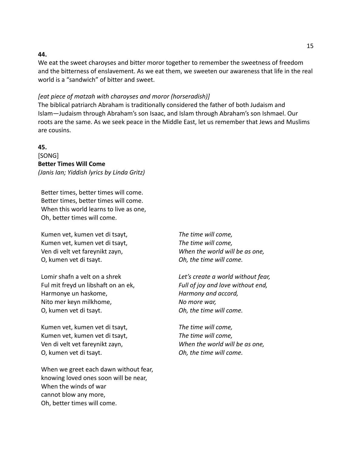We eat the sweet charoyses and bitter moror together to remember the sweetness of freedom and the bitterness of enslavement. As we eat them, we sweeten our awareness that life in the real world is a "sandwich" of bitter and sweet.

#### *[eat piece of matzah with charoyses and moror (horseradish)]*

The biblical patriarch Abraham is traditionally considered the father of both Judaism and Islam—Judaism through Abraham's son Isaac, and Islam through Abraham's son Ishmael. Our roots are the same. As we seek peace in the Middle East, let us remember that Jews and Muslims are cousins.

#### **45.**

## [SONG] **Better Times Will Come**

*(Janis Ian; Yiddish lyrics by Linda Gritz)*

Better times, better times will come. Better times, better times will come. When this world learns to live as one, Oh, better times will come.

Kumen vet, kumen vet di tsayt, Kumen vet, kumen vet di tsayt, Ven di velt vet fareynikt zayn, O, kumen vet di tsayt.

Lomir shafn a velt on a shrek Ful mit freyd un libshaft on an ek, Harmonye un haskome, Nito mer keyn milkhome, O, kumen vet di tsayt.

Kumen vet, kumen vet di tsayt, Kumen vet, kumen vet di tsayt, Ven di velt vet fareynikt zayn, O, kumen vet di tsayt.

When we greet each dawn without fear, knowing loved ones soon will be near, When the winds of war cannot blow any more, Oh, better times will come.

*The time will come, The time will come, When the world will be as one, Oh, the time will come.*

*Let's create a world without fear, Full of joy and love without end, Harmony and accord, No more war, Oh, the time will come.*

*The time will come, The time will come, When the world will be as one, Oh, the time will come.*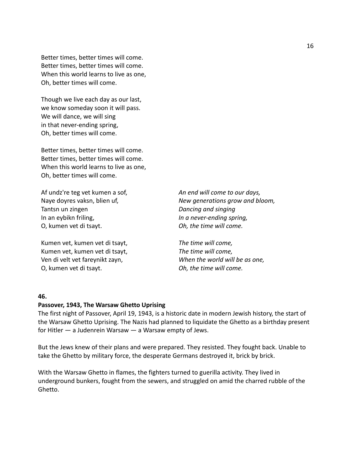Better times, better times will come. Better times, better times will come. When this world learns to live as one, Oh, better times will come.

Though we live each day as our last, we know someday soon it will pass. We will dance, we will sing in that never-ending spring, Oh, better times will come.

Better times, better times will come. Better times, better times will come. When this world learns to live as one, Oh, better times will come.

Af undz're teg vet kumen a sof, Naye doyres vaksn, blien uf, Tantsn un zingen In an eybikn friling, O, kumen vet di tsayt.

Kumen vet, kumen vet di tsayt, Kumen vet, kumen vet di tsayt, Ven di velt vet fareynikt zayn, O, kumen vet di tsayt.

*An end will come to our days, New generations grow and bloom, Dancing and singing In a never-ending spring, Oh, the time will come.*

*The time will come, The time will come, When the world will be as one, Oh, the time will come.*

#### **46.**

#### **Passover, 1943, The Warsaw Ghetto Uprising**

The first night of Passover, April 19, 1943, is a historic date in modern Jewish history, the start of the Warsaw Ghetto Uprising. The Nazis had planned to liquidate the Ghetto as a birthday present for Hitler — a Judenrein Warsaw — a Warsaw empty of Jews.

But the Jews knew of their plans and were prepared. They resisted. They fought back. Unable to take the Ghetto by military force, the desperate Germans destroyed it, brick by brick.

With the Warsaw Ghetto in flames, the fighters turned to guerilla activity. They lived in underground bunkers, fought from the sewers, and struggled on amid the charred rubble of the Ghetto.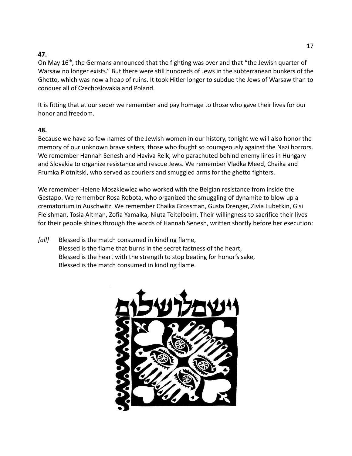On May 16<sup>th</sup>, the Germans announced that the fighting was over and that "the Jewish quarter of Warsaw no longer exists." But there were still hundreds of Jews in the subterranean bunkers of the Ghetto, which was now a heap of ruins. It took Hitler longer to subdue the Jews of Warsaw than to conquer all of Czechoslovakia and Poland.

It is fitting that at our seder we remember and pay homage to those who gave their lives for our honor and freedom.

## **48.**

Because we have so few names of the Jewish women in our history, tonight we will also honor the memory of our unknown brave sisters, those who fought so courageously against the Nazi horrors. We remember Hannah Senesh and Haviva Reik, who parachuted behind enemy lines in Hungary and Slovakia to organize resistance and rescue Jews. We remember Vladka Meed, Chaika and Frumka Plotnitski, who served as couriers and smuggled arms for the ghetto fighters.

We remember Helene Moszkiewiez who worked with the Belgian resistance from inside the Gestapo. We remember Rosa Robota, who organized the smuggling of dynamite to blow up a crematorium in Auschwitz. We remember Chaika Grossman, Gusta Drenger, Zivia Lubetkin, Gisi Fleishman, Tosia Altman, Zofia Yamaika, Niuta Teitelboim. Their willingness to sacrifice their lives for their people shines through the words of Hannah Senesh, written shortly before her execution:

*[all]* Blessed is the match consumed in kindling flame, Blessed is the flame that burns in the secret fastness of the heart, Blessed is the heart with the strength to stop beating for honor's sake, Blessed is the match consumed in kindling flame.

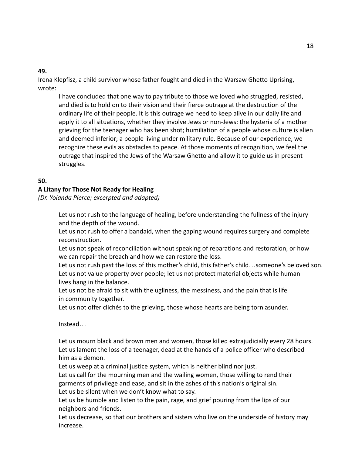Irena Klepfisz, a child survivor whose father fought and died in the Warsaw Ghetto Uprising, wrote:

I have concluded that one way to pay tribute to those we loved who struggled, resisted, and died is to hold on to their vision and their fierce outrage at the destruction of the ordinary life of their people. It is this outrage we need to keep alive in our daily life and apply it to all situations, whether they involve Jews or non-Jews: the hysteria of a mother grieving for the teenager who has been shot; humiliation of a people whose culture is alien and deemed inferior; a people living under military rule. Because of our experience, we recognize these evils as obstacles to peace. At those moments of recognition, we feel the outrage that inspired the Jews of the Warsaw Ghetto and allow it to guide us in present struggles.

## **50.**

#### **A Litany for Those Not Ready for Healing**

*(Dr. Yolanda Pierce; excerpted and adapted)*

Let us not rush to the language of healing, before understanding the fullness of the injury and the depth of the wound.

Let us not rush to offer a bandaid, when the gaping wound requires surgery and complete reconstruction.

Let us not speak of reconciliation without speaking of reparations and restoration, or how we can repair the breach and how we can restore the loss.

Let us not rush past the loss of this mother's child, this father's child…someone's beloved son. Let us not value property over people; let us not protect material objects while human lives hang in the balance.

Let us not be afraid to sit with the ugliness, the messiness, and the pain that is life in community together.

Let us not offer clichés to the grieving, those whose hearts are being torn asunder.

Instead…

Let us mourn black and brown men and women, those killed extrajudicially every 28 hours. Let us lament the loss of a teenager, dead at the hands of a police officer who described him as a demon.

Let us weep at a criminal justice system, which is neither blind nor just.

Let us call for the mourning men and the wailing women, those willing to rend their garments of privilege and ease, and sit in the ashes of this nation's original sin. Let us be silent when we don't know what to say.

Let us be humble and listen to the pain, rage, and grief pouring from the lips of our neighbors and friends.

Let us decrease, so that our brothers and sisters who live on the underside of history may increase.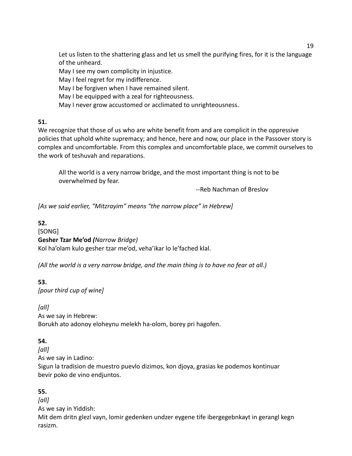Let us listen to the shattering glass and let us smell the purifying fires, for it is the language of the unheard.

May I see my own complicity in injustice.

May I feel regret for my indifference.

May I be forgiven when I have remained silent.

May I be equipped with a zeal for righteousness.

May I never grow accustomed or acclimated to unrighteousness.

## **51.**

We recognize that those of us who are white benefit from and are complicit in the oppressive policies that uphold white supremacy; and hence, here and now, our place in the Passover story is complex and uncomfortable. From this complex and uncomfortable place, we commit ourselves to the work of teshuvah and reparations.

All the world is a very narrow bridge, and the most important thing is not to be overwhelmed by fear.

--Reb Nachman of Breslov

*[As we said earlier, "Mitzrayim" means "the narrow place" in Hebrew]*

## **52.**

[SONG] **Gesher Tzar Me'od** *(Narrow Bridge)* Kol ha'olam kulo gesher tzar me'od, veha'ikar lo le'fached klal.

*(All the world is a very narrow bridge, and the main thing is to have no fear at all.)*

#### **53.** *[pour third cup of wine]*

*[all]* As we say in Hebrew: Borukh ato adonoy eloheynu melekh ha-olom, borey pri hagofen.

## **54.**

## *[all]*

As we say in Ladino:

Sigun la tradision de muestro puevlo dizimos, kon djoya, grasias ke podemos kontinuar bevir poko de vino endjuntos.

## **55.**

*[all]* As we say in Yiddish: Mit dem dritn glezl vayn, lomir gedenken undzer eygene tife ibergegebnkayt in gerangl kegn rasizm.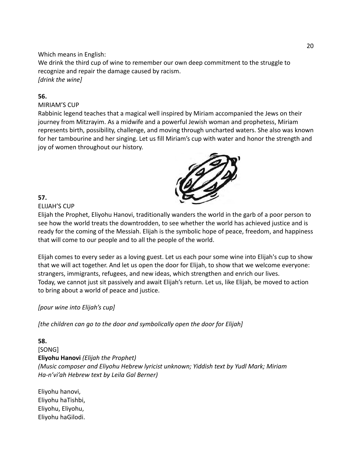Which means in English:

We drink the third cup of wine to remember our own deep commitment to the struggle to recognize and repair the damage caused by racism. *[drink the wine]*

## **56.**

MIRIAM'S CUP

Rabbinic legend teaches that a magical well inspired by Miriam accompanied the Jews on their journey from Mitzrayim. As a midwife and a powerful Jewish woman and prophetess, Miriam represents birth, possibility, challenge, and moving through uncharted waters. She also was known for her tambourine and her singing. Let us fill Miriam's cup with water and honor the strength and joy of women throughout our history.

#### **57.**

ELIJAH'S CUP

Elijah the Prophet, Eliyohu Hanovi, traditionally wanders the world in the garb of a poor person to see how the world treats the downtrodden, to see whether the world has achieved justice and is ready for the coming of the Messiah. Elijah is the symbolic hope of peace, freedom, and happiness that will come to our people and to all the people of the world.

Elijah comes to every seder as a loving guest. Let us each pour some wine into Elijah's cup to show that we will act together. And let us open the door for Elijah, to show that we welcome everyone: strangers, immigrants, refugees, and new ideas, which strengthen and enrich our lives. Today, we cannot just sit passively and await Elijah's return. Let us, like Elijah, be moved to action to bring about a world of peace and justice.

*[pour wine into Elijah's cup]*

*[the children can go to the door and symbolically open the door for Elijah]*

# **58.**

[SONG] **Eliyohu Hanovi** *(Elijah the Prophet) (Music composer and Eliyohu Hebrew lyricist unknown; Yiddish text by Yudl Mark; Miriam Ha-n'vi'ah Hebrew text by Leila Gal Berner)*

Eliyohu hanovi, Eliyohu haTishbi, Eliyohu, Eliyohu, Eliyohu haGilodi.

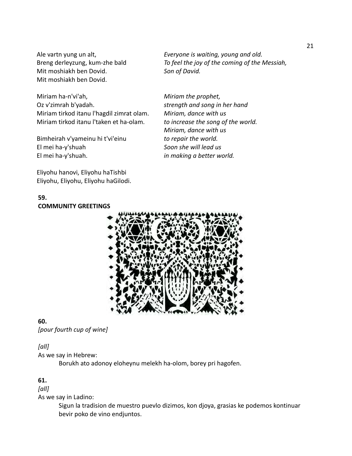Ale vartn yung un alt, Breng derleyzung, kum-zhe bald Mit moshiakh ben Dovid. Mit moshiakh ben Dovid.

Miriam ha-n'vi'ah, Oz v'zimrah b'yadah. Miriam tirkod itanu l'hagdil zimrat olam. Miriam tirkod itanu l'taken et ha-olam.

Bimheirah v'yameinu hi t'vi'einu El mei ha-y'shuah El mei ha-y'shuah.

Eliyohu hanovi, Eliyohu haTishbi Eliyohu, Eliyohu, Eliyohu haGilodi.

## **59. COMMUNITY GREETINGS**

*Everyone is waiting, young and old. To feel the joy of the coming of the Messiah, Son of David.*

*Miriam the prophet, strength and song in her hand Miriam, dance with us to increase the song of the world. Miriam, dance with us to repair the world. Soon she will lead us in making a better world.*



#### **60.**

*[pour fourth cup of wine]*

#### *[all]*

As we say in Hebrew:

Borukh ato adonoy eloheynu melekh ha-olom, borey pri hagofen.

## **61.**

*[all]*

As we say in Ladino:

Sigun la tradision de muestro puevlo dizimos, kon djoya, grasias ke podemos kontinuar bevir poko de vino endjuntos.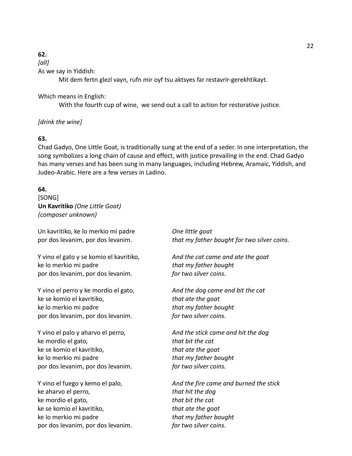*[all]* As we say in Yiddish:

Mit dem fertn glezl vayn, rufn mir oyf tsu aktsyes far restavrir-gerekhtikayt.

#### Which means in English:

With the fourth cup of wine, we send out a call to action for restorative justice.

## *[drink the wine]*

## **63.**

Chad Gadyo, One Little Goat, is traditionally sung at the end of a seder. In one interpretation, the song symbolizes a long chain of cause and effect, with justice prevailing in the end. Chad Gadyo has many verses and has been sung in many languages, including Hebrew, Aramaic, Yiddish, and Judeo-Arabic. Here are a few verses in Ladino.

## **64.**

[SONG] **Un Kavritiko** *(One Little Goat) (composer unknown)*

Un kavritiko, ke lo merkio mi padre por dos levanim, por dos levanim.

Y vino el gato y se komio el kavritiko, ke lo merkio mi padre por dos levanim, por dos levanim.

Y vino el perro y ke mordio el gato, ke se komio el kavritiko, ke lo merkio mi padre por dos levanim, por dos levanim.

Y vino el palo y aharvo el perro, ke mordio el gato, ke se komio el kavritiko, ke lo merkio mi padre por dos levanim, por dos levanim.

Y vino el fuego y kemo el palo, ke aharvo el perro, ke mordio el gato, ke se komio el kavritiko, ke lo merkio mi padre por dos levanim, por dos levanim. *One little goat that my father bought for two silver coins.*

*And the cat came and ate the goat that my father bought for two silver coins.*

*And the dog came and bit the cat that ate the goat that my father bought for two silver coins.*

*And the stick came and hit the dog that bit the cat that ate the goat that my father bought for two silver coins.*

*And the fire came and burned the stick that hit the dog that bit the cat that ate the goat that my father bought for two silver coins.*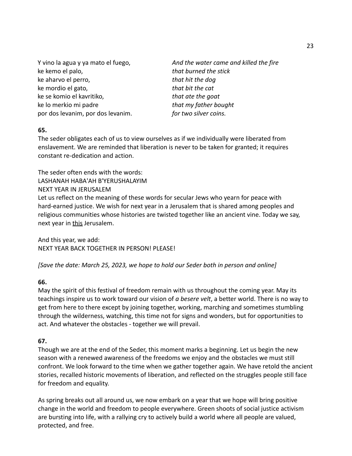Y vino la agua y ya mato el fuego, ke kemo el palo, ke aharvo el perro, ke mordio el gato, ke se komio el kavritiko, ke lo merkio mi padre por dos levanim, por dos levanim.

*And the water came and killed the fire that burned the stick that hit the dog that bit the cat that ate the goat that my father bought for two silver coins.*

#### **65.**

The seder obligates each of us to view ourselves as if we individually were liberated from enslavement. We are reminded that liberation is never to be taken for granted; it requires constant re-dedication and action.

The seder often ends with the words: LASHANAH HABA'AH B'YERUSHALAYIM NEXT YEAR IN JERUSALEM Let us reflect on the meaning of these words for secular Jews who yearn for peace with hard-earned justice. We wish for next year in a Jerusalem that is shared among peoples and religious communities whose histories are twisted together like an ancient vine. Today we say, next year in this Jerusalem.

And this year, we add: NEXT YEAR BACK TOGETHER IN PERSON! PLEASE!

*[Save the date: March 25, 2023, we hope to hold our Seder both in person and online]*

#### **66.**

May the spirit of this festival of freedom remain with us throughout the coming year. May its teachings inspire us to work toward our vision of *a besere velt*, a better world. There is no way to get from here to there except by joining together, working, marching and sometimes stumbling through the wilderness, watching, this time not for signs and wonders, but for opportunities to act. And whatever the obstacles - together we will prevail.

## **67.**

Though we are at the end of the Seder, this moment marks a beginning. Let us begin the new season with a renewed awareness of the freedoms we enjoy and the obstacles we must still confront. We look forward to the time when we gather together again. We have retold the ancient stories, recalled historic movements of liberation, and reflected on the struggles people still face for freedom and equality.

As spring breaks out all around us, we now embark on a year that we hope will bring positive change in the world and freedom to people everywhere. Green shoots of social justice activism are bursting into life, with a rallying cry to actively build a world where all people are valued, protected, and free.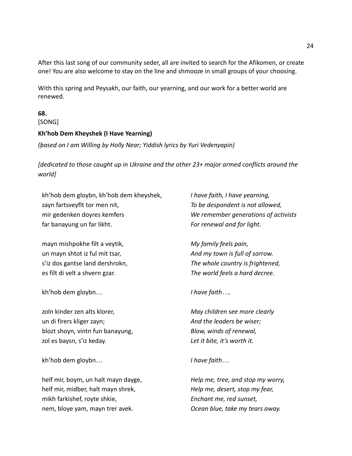After this last song of our community seder, all are invited to search for the Afikomen, or create one! You are also welcome to stay on the line and shmooze in small groups of your choosing.

With this spring and Peysakh, our faith, our yearning, and our work for a better world are renewed.

## **68.**

[SONG]

#### **Kh'hob Dem Kheyshek (I Have Yearning)**

*(ַbased on I am Willing by Holly Near; Yiddish lyrics by Yuri Vedenyapin)*

*[dedicated to those caught up in Ukraine and the other 23+ major armed conflicts around the world]*

kh'hob dem gloybn, kh'hob dem kheyshek, zayn fartsveyflt tor men nit, mir gedenken doyres kemfers far banayung un far likht.

mayn mishpokhe filt a veytik, un mayn shtot iz ful mit tsar, s'iz dos gantse land dershrokn, es filt di velt a shvern gzar.

kh'hob dem gloybn…

zoln kinder zen alts klorer, un di firers kliger zayn; blozt shoyn, vintn fun banayung, zol es baysn, s'iz keday.

kh'hob dem gloybn…

helf mir, boym, un halt mayn dayge, helf mir, midber, halt mayn shrek, mikh farkishef, royte shkie, nem, bloye yam, mayn trer avek.

*I have faith, I have yearning, To be despondent is not allowed, We remember generations of activists For renewal and for light.*

*My family feels pain, And my town is full of sorrow. The whole country is frightened, The world feels a hard decree.*

*I have faith….*

*May children see more clearly And the leaders be wiser; Blow, winds of renewal, Let it bite, it's worth it.*

#### *I have faith…*

*Help me, tree, and stop my worry, Help me, desert, stop my fear, Enchant me, red sunset, Ocean blue, take my tears away.*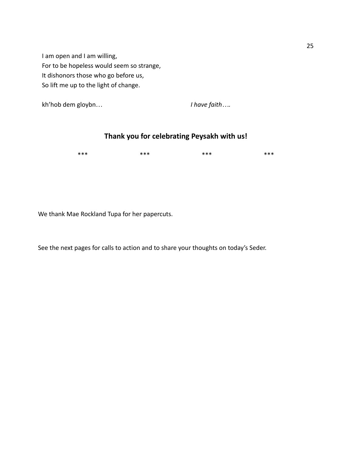I am open and I am willing, For to be hopeless would seem so strange, It dishonors those who go before us, So lift me up to the light of change.

kh'hob dem gloybn… *I have faith….*

## **Thank you for celebrating Peysakh with us!**

\*\*\* \*\*\* \*\*\* \*\*\*

We thank Mae Rockland Tupa for her papercuts.

See the next pages for calls to action and to share your thoughts on today's Seder.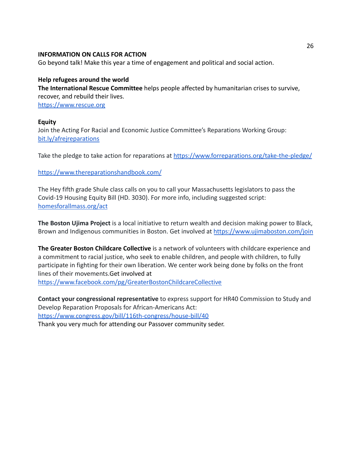#### **INFORMATION ON CALLS FOR ACTION**

Go beyond talk! Make this year a time of engagement and political and social action.

## **Help refugees around the world The International Rescue Committee** helps people affected by humanitarian crises to survive, recover, and rebuild their lives. [https://www.rescue.org](https://www.rescue.org/)

## **Equity**

Join the Acting For Racial and Economic Justice Committee's Reparations Working Group: [bit.ly/afrejreparations](http://bit.ly/afrejreparations)

Take the pledge to take action for reparations at <https://www.forreparations.org/take-the-pledge/>

## <https://www.thereparationshandbook.com/>

The Hey fifth grade Shule class calls on you to call your Massachusetts legislators to pass the Covid-19 Housing Equity Bill (HD. 3030). For more info, including suggested script: [homesforallmass.org/act](http://homesforallmass.org/act)

**The Boston Ujima Project** is a local initiative to return wealth and decision making power to Black, Brown and Indigenous communities in Boston. Get involved at <https://www.ujimaboston.com/join>

**The Greater Boston Childcare Collective** is a network of volunteers with childcare experience and a commitment to racial justice, who seek to enable children, and people with children, to fully participate in fighting for their own liberation. We center work being done by folks on the front lines of their movements.Get involved at <https://www.facebook.com/pg/GreaterBostonChildcareCollective>

**Contact your congressional representative** to express support for HR40 Commission to Study and Develop Reparation Proposals for African-Americans Act: <https://www.congress.gov/bill/116th-congress/house-bill/40>

Thank you very much for attending our Passover community seder.